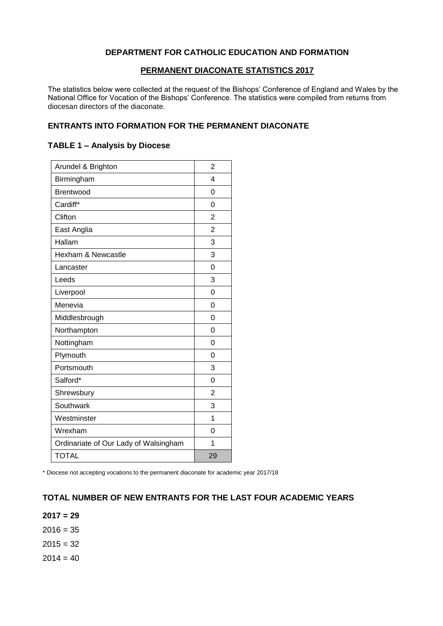#### **DEPARTMENT FOR CATHOLIC EDUCATION AND FORMATION**

#### **PERMANENT DIACONATE STATISTICS 2017**

The statistics below were collected at the request of the Bishops' Conference of England and Wales by the National Office for Vocation of the Bishops' Conference. The statistics were compiled from returns from diocesan directors of the diaconate.

### **ENTRANTS INTO FORMATION FOR THE PERMANENT DIACONATE**

#### **TABLE 1 – Analysis by Diocese**

| Arundel & Brighton                    | 2              |
|---------------------------------------|----------------|
| Birmingham                            | 4              |
| Brentwood                             | 0              |
| Cardiff*                              | $\Omega$       |
| Clifton                               | 2              |
| East Anglia                           | $\overline{2}$ |
| Hallam                                | 3              |
| Hexham & Newcastle                    | 3              |
| Lancaster                             | 0              |
| Leeds                                 | 3              |
| Liverpool                             | $\Omega$       |
| Menevia                               | 0              |
| Middlesbrough                         | 0              |
| Northampton                           | $\Omega$       |
| Nottingham                            | 0              |
| Plymouth                              | 0              |
| Portsmouth                            | 3              |
| Salford*                              | 0              |
| Shrewsbury                            | 2              |
| Southwark                             | 3              |
| Westminster                           | 1              |
| Wrexham                               | 0              |
| Ordinariate of Our Lady of Walsingham | 1              |
| <b>TOTAL</b>                          | 29             |

\* Diocese not accepting vocations to the permanent diaconate for academic year 2017/18

## **TOTAL NUMBER OF NEW ENTRANTS FOR THE LAST FOUR ACADEMIC YEARS**

**2017 = 29**

 $2016 = 35$ 

 $2015 = 32$ 

 $2014 = 40$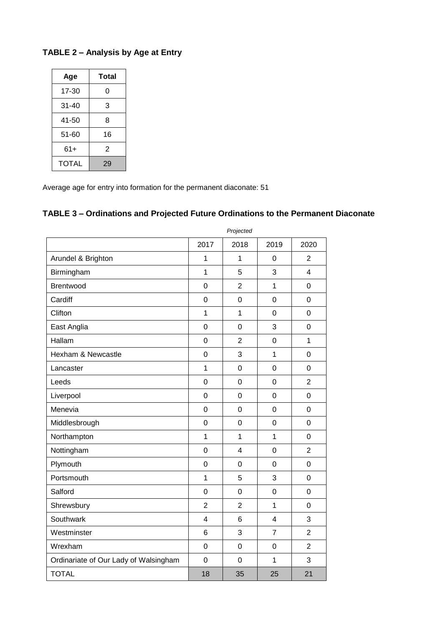# **TABLE 2 – Analysis by Age at Entry**

| Age   | Total |  |
|-------|-------|--|
| 17-30 | 0     |  |
| 31-40 | 3     |  |
| 41-50 | 8     |  |
| 51-60 | 16    |  |
| $61+$ | 2     |  |
| TOTAL | 29    |  |

Average age for entry into formation for the permanent diaconate: 51

# **TABLE 3 – Ordinations and Projected Future Ordinations to the Permanent Diaconate**

| Piojectea        |                |                |                |
|------------------|----------------|----------------|----------------|
| 2017             | 2018           | 2019           | 2020           |
| 1                | 1              | $\mathbf 0$    | $\overline{2}$ |
| $\mathbf{1}$     | 5              | 3              | $\overline{4}$ |
| $\mathbf 0$      | $\overline{2}$ | $\overline{1}$ | $\mathbf 0$    |
| $\mathbf 0$      | $\mathbf 0$    | $\overline{0}$ | $\mathbf 0$    |
| $\mathbf{1}$     | $\overline{1}$ | $\overline{0}$ | $\overline{0}$ |
| $\mathbf 0$      | $\mathbf 0$    | 3              | $\mathbf 0$    |
| $\mathbf 0$      | $\overline{2}$ | $\mathbf 0$    | 1              |
| $\mathbf 0$      | 3              | $\mathbf{1}$   | $\mathbf 0$    |
| $\overline{1}$   | $\mathbf 0$    | $\overline{0}$ | $\mathbf 0$    |
| 0                | $\overline{0}$ | $\overline{0}$ | $\overline{2}$ |
| 0                | $\mathbf 0$    | $\mathbf 0$    | $\mathbf 0$    |
| $\mathbf 0$      | $\mathbf 0$    | $\mathbf 0$    | $\mathbf 0$    |
| 0                | $\overline{0}$ | $\overline{0}$ | $\overline{0}$ |
| $\mathbf{1}$     | $\overline{1}$ | $\mathbf{1}$   | $\mathbf 0$    |
| 0                | $\overline{4}$ | $\mathbf 0$    | $\overline{2}$ |
| $\mathbf 0$      | $\mathbf 0$    | $\mathbf 0$    | $\mathbf 0$    |
| 1                | 5              | 3              | $\mathbf 0$    |
| $\mathbf 0$      | $\mathbf 0$    | $\overline{0}$ | $\mathbf 0$    |
| $\overline{2}$   | $\overline{2}$ | $\overline{1}$ | $\mathbf 0$    |
| $\overline{4}$   | 6              | $\overline{4}$ | 3              |
| 6                | 3              | $\overline{7}$ | $\overline{2}$ |
| 0                | $\mathbf 0$    | $\mathbf 0$    | $\overline{2}$ |
| $\boldsymbol{0}$ | $\overline{0}$ | $\mathbf{1}$   | 3              |
| 18               | 35             | 25             | 21             |
|                  |                |                |                |

*Projected*